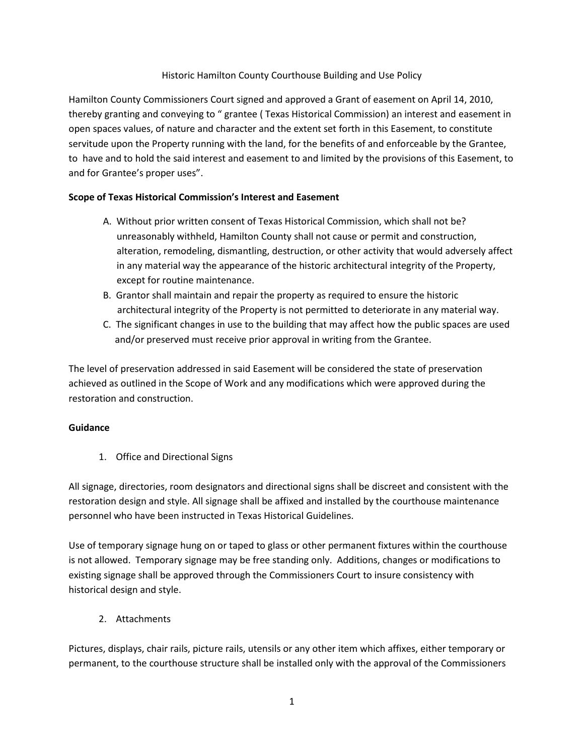#### Historic Hamilton County Courthouse Building and Use Policy

Hamilton County Commissioners Court signed and approved a Grant of easement on April 14, 2010, thereby granting and conveying to " grantee ( Texas Historical Commission) an interest and easement in open spaces values, of nature and character and the extent set forth in this Easement, to constitute servitude upon the Property running with the land, for the benefits of and enforceable by the Grantee, to have and to hold the said interest and easement to and limited by the provisions of this Easement, to and for Grantee's proper uses".

#### **Scope of Texas Historical Commission's Interest and Easement**

- A. Without prior written consent of Texas Historical Commission, which shall not be? unreasonably withheld, Hamilton County shall not cause or permit and construction, alteration, remodeling, dismantling, destruction, or other activity that would adversely affect in any material way the appearance of the historic architectural integrity of the Property, except for routine maintenance.
- B. Grantor shall maintain and repair the property as required to ensure the historic architectural integrity of the Property is not permitted to deteriorate in any material way.
- C. The significant changes in use to the building that may affect how the public spaces are used and/or preserved must receive prior approval in writing from the Grantee.

The level of preservation addressed in said Easement will be considered the state of preservation achieved as outlined in the Scope of Work and any modifications which were approved during the restoration and construction.

#### **Guidance**

1. Office and Directional Signs

All signage, directories, room designators and directional signs shall be discreet and consistent with the restoration design and style. All signage shall be affixed and installed by the courthouse maintenance personnel who have been instructed in Texas Historical Guidelines.

Use of temporary signage hung on or taped to glass or other permanent fixtures within the courthouse is not allowed. Temporary signage may be free standing only. Additions, changes or modifications to existing signage shall be approved through the Commissioners Court to insure consistency with historical design and style.

2. Attachments

Pictures, displays, chair rails, picture rails, utensils or any other item which affixes, either temporary or permanent, to the courthouse structure shall be installed only with the approval of the Commissioners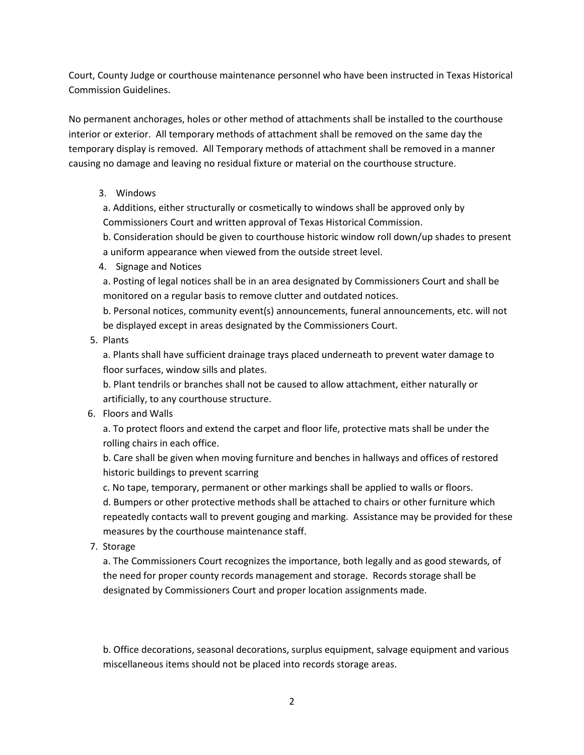Court, County Judge or courthouse maintenance personnel who have been instructed in Texas Historical Commission Guidelines.

No permanent anchorages, holes or other method of attachments shall be installed to the courthouse interior or exterior. All temporary methods of attachment shall be removed on the same day the temporary display is removed. All Temporary methods of attachment shall be removed in a manner causing no damage and leaving no residual fixture or material on the courthouse structure.

### 3. Windows

a. Additions, either structurally or cosmetically to windows shall be approved only by Commissioners Court and written approval of Texas Historical Commission.

b. Consideration should be given to courthouse historic window roll down/up shades to present a uniform appearance when viewed from the outside street level.

#### 4. Signage and Notices

a. Posting of legal notices shall be in an area designated by Commissioners Court and shall be monitored on a regular basis to remove clutter and outdated notices.

b. Personal notices, community event(s) announcements, funeral announcements, etc. will not be displayed except in areas designated by the Commissioners Court.

#### 5. Plants

a. Plants shall have sufficient drainage trays placed underneath to prevent water damage to floor surfaces, window sills and plates.

b. Plant tendrils or branches shall not be caused to allow attachment, either naturally or artificially, to any courthouse structure.

### 6. Floors and Walls

a. To protect floors and extend the carpet and floor life, protective mats shall be under the rolling chairs in each office.

b. Care shall be given when moving furniture and benches in hallways and offices of restored historic buildings to prevent scarring

c. No tape, temporary, permanent or other markings shall be applied to walls or floors. d. Bumpers or other protective methods shall be attached to chairs or other furniture which repeatedly contacts wall to prevent gouging and marking. Assistance may be provided for these measures by the courthouse maintenance staff.

7. Storage

a. The Commissioners Court recognizes the importance, both legally and as good stewards, of the need for proper county records management and storage. Records storage shall be designated by Commissioners Court and proper location assignments made.

b. Office decorations, seasonal decorations, surplus equipment, salvage equipment and various miscellaneous items should not be placed into records storage areas.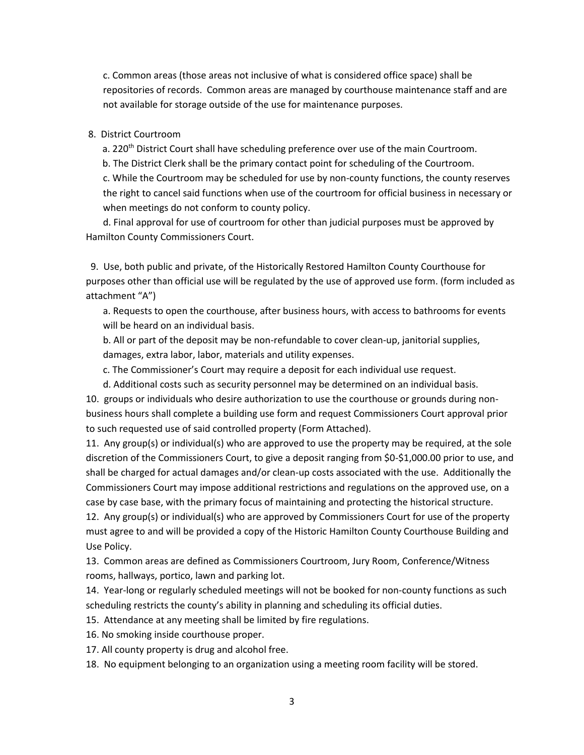c. Common areas (those areas not inclusive of what is considered office space) shall be repositories of records. Common areas are managed by courthouse maintenance staff and are not available for storage outside of the use for maintenance purposes.

#### 8. District Courtroom

a. 220<sup>th</sup> District Court shall have scheduling preference over use of the main Courtroom. b. The District Clerk shall be the primary contact point for scheduling of the Courtroom. c. While the Courtroom may be scheduled for use by non-county functions, the county reserves the right to cancel said functions when use of the courtroom for official business in necessary or when meetings do not conform to county policy.

d. Final approval for use of courtroom for other than judicial purposes must be approved by Hamilton County Commissioners Court.

 9. Use, both public and private, of the Historically Restored Hamilton County Courthouse for purposes other than official use will be regulated by the use of approved use form. (form included as attachment "A")

a. Requests to open the courthouse, after business hours, with access to bathrooms for events will be heard on an individual basis.

b. All or part of the deposit may be non-refundable to cover clean-up, janitorial supplies, damages, extra labor, labor, materials and utility expenses.

c. The Commissioner's Court may require a deposit for each individual use request.

d. Additional costs such as security personnel may be determined on an individual basis.

10. groups or individuals who desire authorization to use the courthouse or grounds during nonbusiness hours shall complete a building use form and request Commissioners Court approval prior to such requested use of said controlled property (Form Attached).

11. Any group(s) or individual(s) who are approved to use the property may be required, at the sole discretion of the Commissioners Court, to give a deposit ranging from \$0-\$1,000.00 prior to use, and shall be charged for actual damages and/or clean-up costs associated with the use. Additionally the Commissioners Court may impose additional restrictions and regulations on the approved use, on a case by case base, with the primary focus of maintaining and protecting the historical structure.

12. Any group(s) or individual(s) who are approved by Commissioners Court for use of the property must agree to and will be provided a copy of the Historic Hamilton County Courthouse Building and Use Policy.

13. Common areas are defined as Commissioners Courtroom, Jury Room, Conference/Witness rooms, hallways, portico, lawn and parking lot.

14. Year-long or regularly scheduled meetings will not be booked for non-county functions as such scheduling restricts the county's ability in planning and scheduling its official duties.

15. Attendance at any meeting shall be limited by fire regulations.

16. No smoking inside courthouse proper.

17. All county property is drug and alcohol free.

18. No equipment belonging to an organization using a meeting room facility will be stored.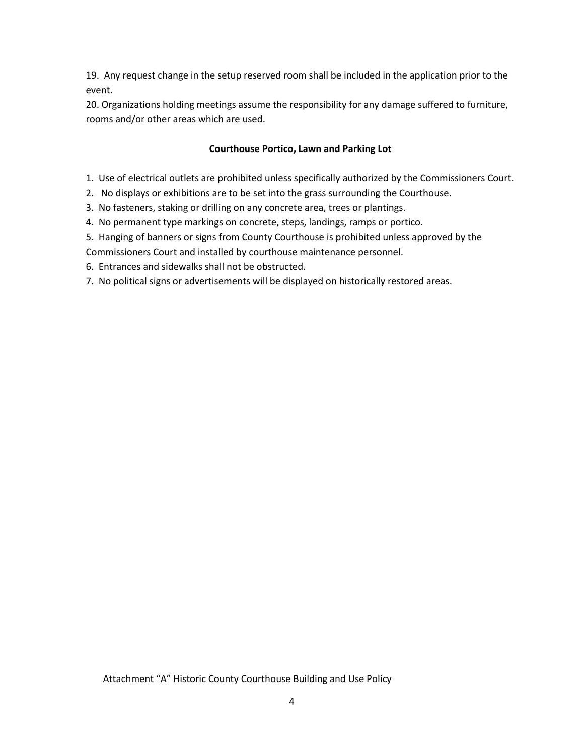19. Any request change in the setup reserved room shall be included in the application prior to the event.

20. Organizations holding meetings assume the responsibility for any damage suffered to furniture, rooms and/or other areas which are used.

## **Courthouse Portico, Lawn and Parking Lot**

- 1. Use of electrical outlets are prohibited unless specifically authorized by the Commissioners Court.
- 2. No displays or exhibitions are to be set into the grass surrounding the Courthouse.
- 3. No fasteners, staking or drilling on any concrete area, trees or plantings.
- 4. No permanent type markings on concrete, steps, landings, ramps or portico.
- 5. Hanging of banners or signs from County Courthouse is prohibited unless approved by the

Commissioners Court and installed by courthouse maintenance personnel.

- 6. Entrances and sidewalks shall not be obstructed.
- 7. No political signs or advertisements will be displayed on historically restored areas.